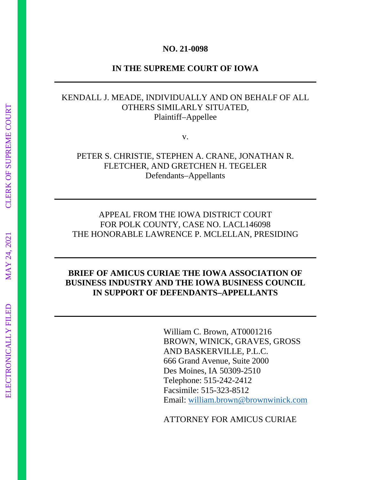#### **NO. 21-0098**

#### **IN THE SUPREME COURT OF IOWA**

## KENDALL J. MEADE, INDIVIDUALLY AND ON BEHALF OF ALL OTHERS SIMILARLY SITUATED, Plaintiff–Appellee

v.

PETER S. CHRISTIE, STEPHEN A. CRANE, JONATHAN R. FLETCHER, AND GRETCHEN H. TEGELER Defendants–Appellants

## APPEAL FROM THE IOWA DISTRICT COURT FOR POLK COUNTY, CASE NO. LACL146098 THE HONORABLE LAWRENCE P. MCLELLAN, PRESIDING

### **BRIEF OF AMICUS CURIAE THE IOWA ASSOCIATION OF BUSINESS INDUSTRY AND THE IOWA BUSINESS COUNCIL IN SUPPORT OF DEFENDANTS–APPELLANTS**

William C. Brown, AT0001216 BROWN, WINICK, GRAVES, GROSS AND BASKERVILLE, P.L.C. 666 Grand Avenue, Suite 2000 Des Moines, IA 50309-2510 Telephone: 515-242-2412 Facsimile: 515-323-8512 Email: william.brown@brownwinick.com

ATTORNEY FOR AMICUS CURIAE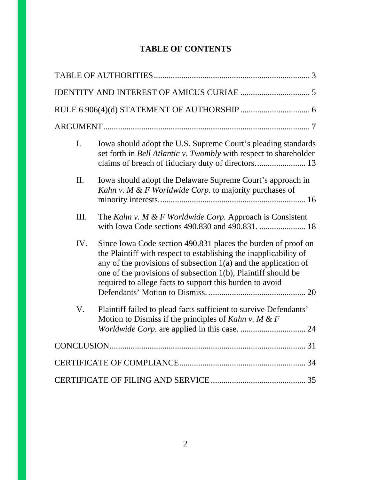## **TABLE OF CONTENTS**

| $\mathbf{I}$ . | Iowa should adopt the U.S. Supreme Court's pleading standards<br>set forth in <i>Bell Atlantic v. Twombly</i> with respect to shareholder<br>claims of breach of fiduciary duty of directors 13                                                                                                                                      |
|----------------|--------------------------------------------------------------------------------------------------------------------------------------------------------------------------------------------------------------------------------------------------------------------------------------------------------------------------------------|
| П.             | Iowa should adopt the Delaware Supreme Court's approach in<br>Kahn v. M & F Worldwide Corp. to majority purchases of                                                                                                                                                                                                                 |
| Ш.             | The Kahn v. M & F Worldwide Corp. Approach is Consistent<br>with Iowa Code sections 490.830 and 490.831.  18                                                                                                                                                                                                                         |
| IV.            | Since Iowa Code section 490.831 places the burden of proof on<br>the Plaintiff with respect to establishing the inapplicability of<br>any of the provisions of subsection $1(a)$ and the application of<br>one of the provisions of subsection 1(b), Plaintiff should be<br>required to allege facts to support this burden to avoid |
| V.             | Plaintiff failed to plead facts sufficient to survive Defendants'<br>Motion to Dismiss if the principles of Kahn v. M & F                                                                                                                                                                                                            |
|                |                                                                                                                                                                                                                                                                                                                                      |
|                |                                                                                                                                                                                                                                                                                                                                      |
|                |                                                                                                                                                                                                                                                                                                                                      |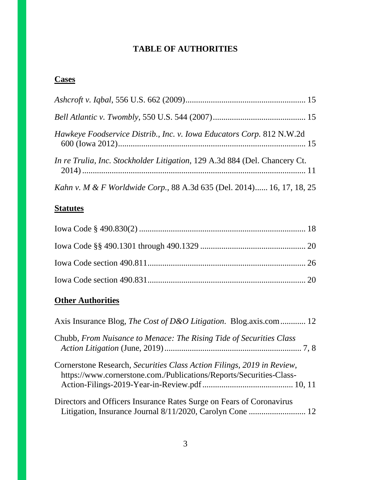## **TABLE OF AUTHORITIES**

# **Cases**

| Hawkeye Foodservice Distrib., Inc. v. Iowa Educators Corp. 812 N.W.2d      |
|----------------------------------------------------------------------------|
| In re Trulia, Inc. Stockholder Litigation, 129 A.3d 884 (Del. Chancery Ct. |
| Kahn v. M & F Worldwide Corp., 88 A.3d 635 (Del. 2014) 16, 17, 18, 25      |

# **Statutes**

# **Other Authorities**

| Axis Insurance Blog, The Cost of D&O Litigation. Blog.axis.com 12                                                                             |
|-----------------------------------------------------------------------------------------------------------------------------------------------|
| Chubb, From Nuisance to Menace: The Rising Tide of Securities Class                                                                           |
| Cornerstone Research, Securities Class Action Filings, 2019 in Review,<br>https://www.cornerstone.com./Publications/Reports/Securities-Class- |
| Directors and Officers Insurance Rates Surge on Fears of Coronavirus                                                                          |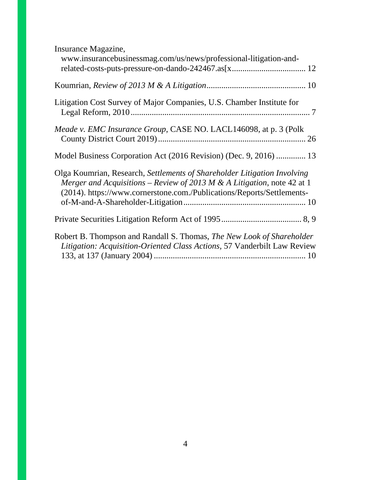| Insurance Magazine,<br>www.insurancebusinessmag.com/us/news/professional-litigation-and-                                                                                                                                      |  |
|-------------------------------------------------------------------------------------------------------------------------------------------------------------------------------------------------------------------------------|--|
|                                                                                                                                                                                                                               |  |
| Litigation Cost Survey of Major Companies, U.S. Chamber Institute for                                                                                                                                                         |  |
| Meade v. EMC Insurance Group, CASE NO. LACL146098, at p. 3 (Polk                                                                                                                                                              |  |
| Model Business Corporation Act (2016 Revision) (Dec. 9, 2016)  13                                                                                                                                                             |  |
| Olga Koumrian, Research, Settlements of Shareholder Litigation Involving<br>Merger and Acquisitions – Review of 2013 M & A Litigation, note 42 at 1<br>(2014). https://www.cornerstone.com./Publications/Reports/Settlements- |  |
|                                                                                                                                                                                                                               |  |
| Robert B. Thompson and Randall S. Thomas, The New Look of Shareholder<br>Litigation: Acquisition-Oriented Class Actions, 57 Vanderbilt Law Review                                                                             |  |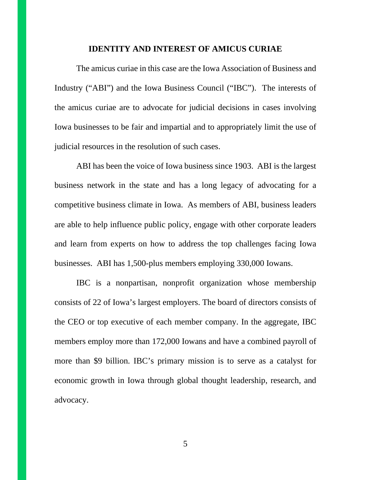#### **IDENTITY AND INTEREST OF AMICUS CURIAE**

The amicus curiae in this case are the Iowa Association of Business and Industry ("ABI") and the Iowa Business Council ("IBC"). The interests of the amicus curiae are to advocate for judicial decisions in cases involving Iowa businesses to be fair and impartial and to appropriately limit the use of judicial resources in the resolution of such cases.

ABI has been the voice of Iowa business since 1903. ABI is the largest business network in the state and has a long legacy of advocating for a competitive business climate in Iowa. As members of ABI, business leaders are able to help influence public policy, engage with other corporate leaders and learn from experts on how to address the top challenges facing Iowa businesses. ABI has 1,500-plus members employing 330,000 Iowans.

IBC is a nonpartisan, nonprofit organization whose membership consists of 22 of Iowa's largest employers. The board of directors consists of the CEO or top executive of each member company. In the aggregate, IBC members employ more than 172,000 Iowans and have a combined payroll of more than \$9 billion. IBC's primary mission is to serve as a catalyst for economic growth in Iowa through global thought leadership, research, and advocacy.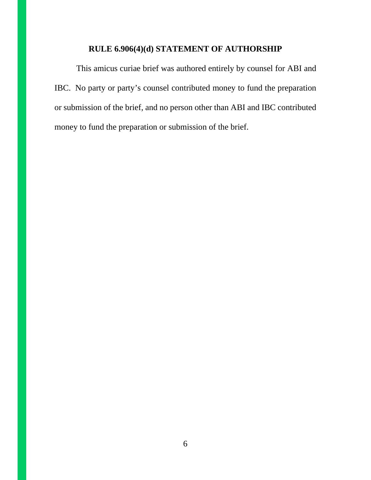### **RULE 6.906(4)(d) STATEMENT OF AUTHORSHIP**

This amicus curiae brief was authored entirely by counsel for ABI and IBC. No party or party's counsel contributed money to fund the preparation or submission of the brief, and no person other than ABI and IBC contributed money to fund the preparation or submission of the brief.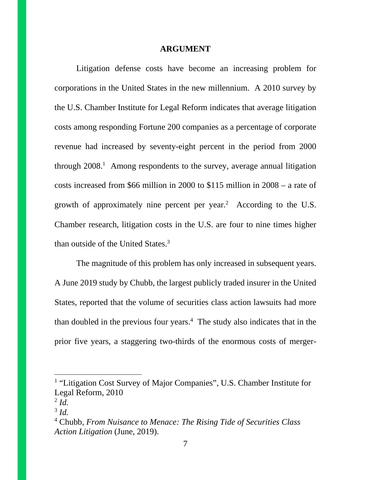#### **ARGUMENT**

Litigation defense costs have become an increasing problem for corporations in the United States in the new millennium. A 2010 survey by the U.S. Chamber Institute for Legal Reform indicates that average litigation costs among responding Fortune 200 companies as a percentage of corporate revenue had increased by seventy-eight percent in the period from 2000 through 2008.<sup>1</sup> Among respondents to the survey, average annual litigation costs increased from \$66 million in 2000 to \$115 million in 2008 – a rate of growth of approximately nine percent per year.<sup>2</sup> According to the U.S. Chamber research, litigation costs in the U.S. are four to nine times higher than outside of the United States.<sup>3</sup>

The magnitude of this problem has only increased in subsequent years. A June 2019 study by Chubb, the largest publicly traded insurer in the United States, reported that the volume of securities class action lawsuits had more than doubled in the previous four years.<sup>4</sup> The study also indicates that in the prior five years, a staggering two-thirds of the enormous costs of merger-

<sup>&</sup>lt;sup>1</sup> "Litigation Cost Survey of Major Companies", U.S. Chamber Institute for Legal Reform, 2010

<sup>2</sup> *Id.*

<sup>3</sup> *Id.*

<sup>4</sup> Chubb, *From Nuisance to Menace: The Rising Tide of Securities Class Action Litigation* (June, 2019).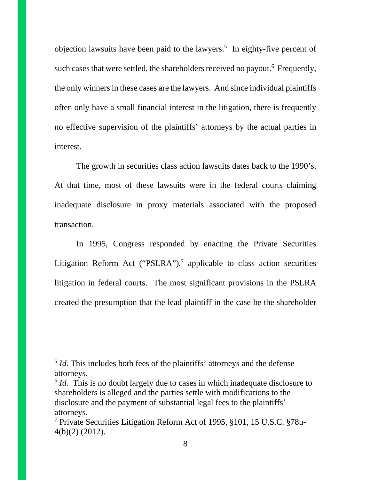objection lawsuits have been paid to the lawyers.<sup>5</sup> In eighty-five percent of such cases that were settled, the shareholders received no payout.<sup>6</sup> Frequently, the only winners in these cases are the lawyers. And since individual plaintiffs often only have a small financial interest in the litigation, there is frequently no effective supervision of the plaintiffs' attorneys by the actual parties in interest.

The growth in securities class action lawsuits dates back to the 1990's. At that time, most of these lawsuits were in the federal courts claiming inadequate disclosure in proxy materials associated with the proposed transaction.

In 1995, Congress responded by enacting the Private Securities Litigation Reform Act ("PSLRA"), $^7$  applicable to class action securities litigation in federal courts. The most significant provisions in the PSLRA created the presumption that the lead plaintiff in the case be the shareholder

<sup>&</sup>lt;sup>5</sup> *Id*. This includes both fees of the plaintiffs' attorneys and the defense attorneys.

<sup>&</sup>lt;sup>6</sup> *Id.* This is no doubt largely due to cases in which inadequate disclosure to shareholders is alleged and the parties settle with modifications to the disclosure and the payment of substantial legal fees to the plaintiffs' attorneys.

<sup>7</sup> Private Securities Litigation Reform Act of 1995, §101, 15 U.S.C. §78u-4(b)(2) (2012).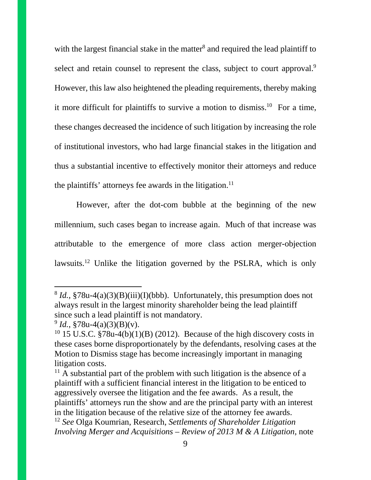with the largest financial stake in the matter<sup>8</sup> and required the lead plaintiff to select and retain counsel to represent the class, subject to court approval.<sup>9</sup> However, this law also heightened the pleading requirements, thereby making it more difficult for plaintiffs to survive a motion to dismiss.<sup>10</sup> For a time, these changes decreased the incidence of such litigation by increasing the role of institutional investors, who had large financial stakes in the litigation and thus a substantial incentive to effectively monitor their attorneys and reduce the plaintiffs' attorneys fee awards in the litigation.<sup>11</sup>

However, after the dot-com bubble at the beginning of the new millennium, such cases began to increase again. Much of that increase was attributable to the emergence of more class action merger-objection lawsuits.<sup>12</sup> Unlike the litigation governed by the PSLRA, which is only

<sup>&</sup>lt;sup>8</sup> *Id.*, §78u-4(a)(3)(B)(iii)(I)(bbb). Unfortunately, this presumption does not always result in the largest minority shareholder being the lead plaintiff since such a lead plaintiff is not mandatory.

 $9^9$  *Id.*,  $$78u-4(a)(3)(B)(v)$ .

<sup>&</sup>lt;sup>10</sup> 15 U.S.C. §78u-4(b)(1)(B) (2012). Because of the high discovery costs in these cases borne disproportionately by the defendants, resolving cases at the Motion to Dismiss stage has become increasingly important in managing litigation costs.

 $11$  A substantial part of the problem with such litigation is the absence of a plaintiff with a sufficient financial interest in the litigation to be enticed to aggressively oversee the litigation and the fee awards. As a result, the plaintiffs' attorneys run the show and are the principal party with an interest in the litigation because of the relative size of the attorney fee awards. <sup>12</sup> *See* Olga Koumrian, Research, *Settlements of Shareholder Litigation Involving Merger and Acquisitions – Review of 2013 M & A Litigation*, note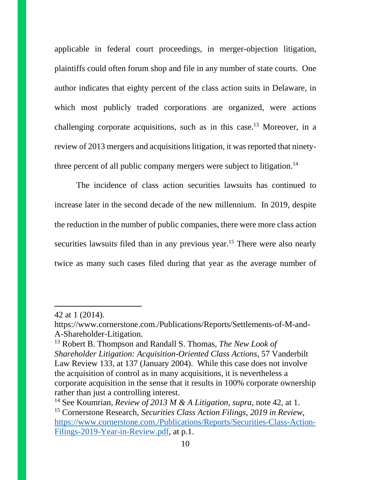applicable in federal court proceedings, in merger-objection litigation, plaintiffs could often forum shop and file in any number of state courts. One author indicates that eighty percent of the class action suits in Delaware, in which most publicly traded corporations are organized, were actions challenging corporate acquisitions, such as in this case.<sup>13</sup> Moreover, in a review of 2013 mergers and acquisitions litigation, it was reported that ninetythree percent of all public company mergers were subject to litigation.<sup>14</sup>

The incidence of class action securities lawsuits has continued to increase later in the second decade of the new millennium. In 2019, despite the reduction in the number of public companies, there were more class action securities lawsuits filed than in any previous year.<sup>15</sup> There were also nearly twice as many such cases filed during that year as the average number of

<sup>42</sup> at 1 (2014).

https://www.cornerstone.com./Publications/Reports/Settlements-of-M-and-A-Shareholder-Litigation.

<sup>13</sup> Robert B. Thompson and Randall S. Thomas, *The New Look of Shareholder Litigation: Acquisition-Oriented Class Actions,* 57 Vanderbilt Law Review 133, at 137 (January 2004). While this case does not involve the acquisition of control as in many acquisitions, it is nevertheless a corporate acquisition in the sense that it results in 100% corporate ownership rather than just a controlling interest.

<sup>14</sup> See Koumrian, *Review of 2013 M & A Litigation, supra*, note 42, at 1. <sup>15</sup> Cornerstone Research, *Securities Class Action Filings, 2019 in Review*, https://www.cornerstone.com./Publications/Reports/Securities-Class-Action-Filings-2019-Year-in-Review.pdf, at p.1.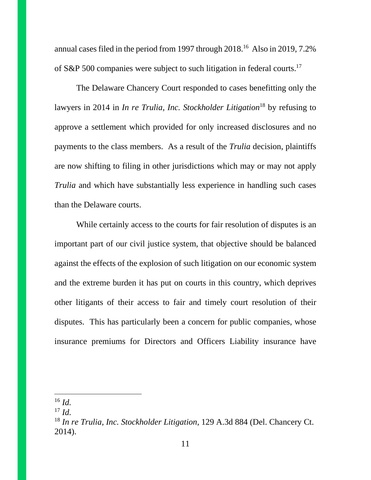annual cases filed in the period from 1997 through 2018.<sup>16</sup> Also in 2019, 7.2% of S&P 500 companies were subject to such litigation in federal courts.<sup>17</sup>

The Delaware Chancery Court responded to cases benefitting only the lawyers in 2014 in *In re Trulia, Inc. Stockholder Litigation*<sup>18</sup> by refusing to approve a settlement which provided for only increased disclosures and no payments to the class members. As a result of the *Trulia* decision, plaintiffs are now shifting to filing in other jurisdictions which may or may not apply *Trulia* and which have substantially less experience in handling such cases than the Delaware courts.

While certainly access to the courts for fair resolution of disputes is an important part of our civil justice system, that objective should be balanced against the effects of the explosion of such litigation on our economic system and the extreme burden it has put on courts in this country, which deprives other litigants of their access to fair and timely court resolution of their disputes. This has particularly been a concern for public companies, whose insurance premiums for Directors and Officers Liability insurance have

 $16$  *Id.* 

 $^{17}$  *Id.* 

<sup>18</sup> *In re Trulia, Inc. Stockholder Litigation*, 129 A.3d 884 (Del. Chancery Ct. 2014).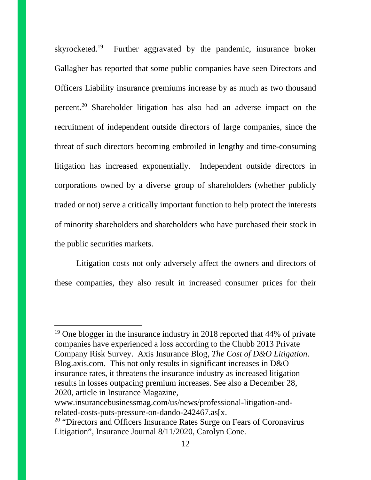skyrocketed.<sup>19</sup> Further aggravated by the pandemic, insurance broker Gallagher has reported that some public companies have seen Directors and Officers Liability insurance premiums increase by as much as two thousand percent.<sup>20</sup> Shareholder litigation has also had an adverse impact on the recruitment of independent outside directors of large companies, since the threat of such directors becoming embroiled in lengthy and time-consuming litigation has increased exponentially. Independent outside directors in corporations owned by a diverse group of shareholders (whether publicly traded or not) serve a critically important function to help protect the interests of minority shareholders and shareholders who have purchased their stock in the public securities markets.

Litigation costs not only adversely affect the owners and directors of these companies, they also result in increased consumer prices for their

<sup>&</sup>lt;sup>19</sup> One blogger in the insurance industry in 2018 reported that 44% of private companies have experienced a loss according to the Chubb 2013 Private Company Risk Survey. Axis Insurance Blog, *The Cost of D&O Litigation*. Blog.axis.com. This not only results in significant increases in D&O insurance rates, it threatens the insurance industry as increased litigation results in losses outpacing premium increases. See also a December 28, 2020, article in Insurance Magazine,

www.insurancebusinessmag.com/us/news/professional-litigation-andrelated-costs-puts-pressure-on-dando-242467.as[x.

<sup>&</sup>lt;sup>20</sup> "Directors and Officers Insurance Rates Surge on Fears of Coronavirus Litigation", Insurance Journal 8/11/2020, Carolyn Cone.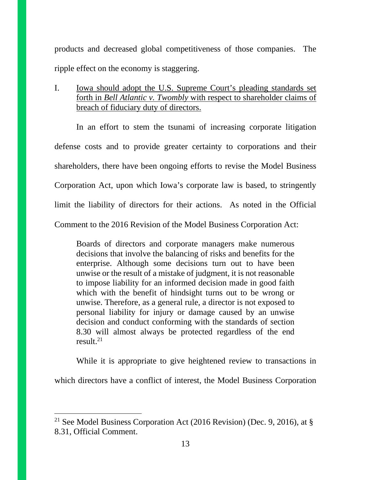products and decreased global competitiveness of those companies. The ripple effect on the economy is staggering.

I. Iowa should adopt the U.S. Supreme Court's pleading standards set forth in *Bell Atlantic v. Twombly* with respect to shareholder claims of breach of fiduciary duty of directors.

In an effort to stem the tsunami of increasing corporate litigation defense costs and to provide greater certainty to corporations and their shareholders, there have been ongoing efforts to revise the Model Business Corporation Act, upon which Iowa's corporate law is based, to stringently limit the liability of directors for their actions. As noted in the Official Comment to the 2016 Revision of the Model Business Corporation Act:

Boards of directors and corporate managers make numerous decisions that involve the balancing of risks and benefits for the enterprise. Although some decisions turn out to have been unwise or the result of a mistake of judgment, it is not reasonable to impose liability for an informed decision made in good faith which with the benefit of hindsight turns out to be wrong or unwise. Therefore, as a general rule, a director is not exposed to personal liability for injury or damage caused by an unwise decision and conduct conforming with the standards of section 8.30 will almost always be protected regardless of the end result. $^{21}$ 

While it is appropriate to give heightened review to transactions in which directors have a conflict of interest, the Model Business Corporation

<sup>&</sup>lt;sup>21</sup> See Model Business Corporation Act (2016 Revision) (Dec. 9, 2016), at  $\S$ 8.31, Official Comment.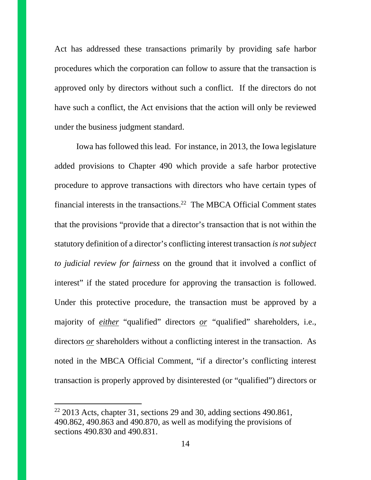Act has addressed these transactions primarily by providing safe harbor procedures which the corporation can follow to assure that the transaction is approved only by directors without such a conflict. If the directors do not have such a conflict, the Act envisions that the action will only be reviewed under the business judgment standard.

Iowa has followed this lead. For instance, in 2013, the Iowa legislature added provisions to Chapter 490 which provide a safe harbor protective procedure to approve transactions with directors who have certain types of financial interests in the transactions.<sup>22</sup> The MBCA Official Comment states that the provisions "provide that a director's transaction that is not within the statutory definition of a director's conflicting interest transaction *is not subject to judicial review for fairness* on the ground that it involved a conflict of interest" if the stated procedure for approving the transaction is followed. Under this protective procedure, the transaction must be approved by a majority of *either* "qualified" directors *or "*qualified" shareholders, i.e., directors *or* shareholders without a conflicting interest in the transaction. As noted in the MBCA Official Comment, "if a director's conflicting interest transaction is properly approved by disinterested (or "qualified") directors or

 $22$  2013 Acts, chapter 31, sections 29 and 30, adding sections 490.861, 490.862, 490.863 and 490.870, as well as modifying the provisions of sections 490.830 and 490.831.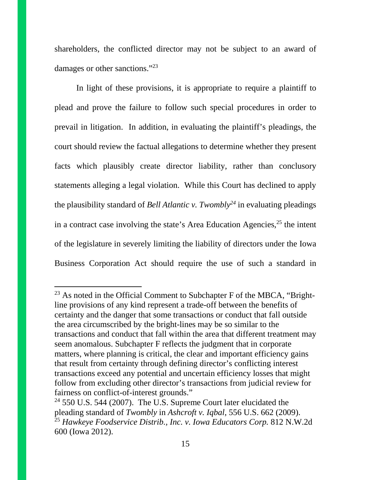shareholders, the conflicted director may not be subject to an award of damages or other sanctions."<sup>23</sup>

In light of these provisions, it is appropriate to require a plaintiff to plead and prove the failure to follow such special procedures in order to prevail in litigation. In addition, in evaluating the plaintiff's pleadings, the court should review the factual allegations to determine whether they present facts which plausibly create director liability, rather than conclusory statements alleging a legal violation. While this Court has declined to apply the plausibility standard of *Bell Atlantic v. Twombly<sup>24</sup>* in evaluating pleadings in a contract case involving the state's Area Education Agencies, $2<sup>5</sup>$  the intent of the legislature in severely limiting the liability of directors under the Iowa Business Corporation Act should require the use of such a standard in

 $23$  As noted in the Official Comment to Subchapter F of the MBCA, "Brightline provisions of any kind represent a trade-off between the benefits of certainty and the danger that some transactions or conduct that fall outside the area circumscribed by the bright-lines may be so similar to the transactions and conduct that fall within the area that different treatment may seem anomalous. Subchapter F reflects the judgment that in corporate matters, where planning is critical, the clear and important efficiency gains that result from certainty through defining director's conflicting interest transactions exceed any potential and uncertain efficiency losses that might follow from excluding other director's transactions from judicial review for fairness on conflict-of-interest grounds."

 $24$  550 U.S. 544 (2007). The U.S. Supreme Court later elucidated the pleading standard of *Twombly* in *Ashcroft v. Iqbal*, 556 U.S. 662 (2009). <sup>25</sup> *Hawkeye Foodservice Distrib., Inc. v. Iowa Educators Corp.* 812 N.W.2d 600 (Iowa 2012).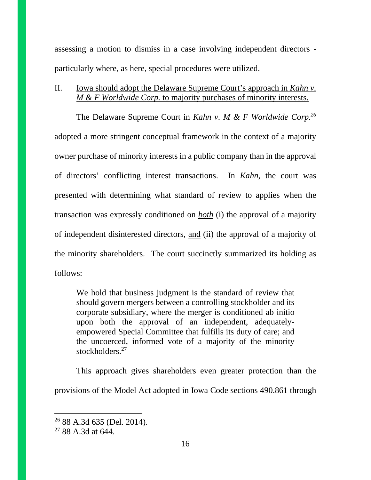assessing a motion to dismiss in a case involving independent directors particularly where, as here, special procedures were utilized.

## II. Iowa should adopt the Delaware Supreme Court's approach in *Kahn v. M & F Worldwide Corp.* to majority purchases of minority interests.

The Delaware Supreme Court in *Kahn v. M & F Worldwide Corp.<sup>26</sup>* adopted a more stringent conceptual framework in the context of a majority owner purchase of minority interests in a public company than in the approval of directors' conflicting interest transactions. In *Kahn*, the court was presented with determining what standard of review to applies when the transaction was expressly conditioned on *both* (i) the approval of a majority of independent disinterested directors, and (ii) the approval of a majority of the minority shareholders. The court succinctly summarized its holding as follows:

We hold that business judgment is the standard of review that should govern mergers between a controlling stockholder and its corporate subsidiary, where the merger is conditioned ab initio upon both the approval of an independent, adequatelyempowered Special Committee that fulfills its duty of care; and the uncoerced, informed vote of a majority of the minority stockholders<sup>27</sup>

This approach gives shareholders even greater protection than the provisions of the Model Act adopted in Iowa Code sections 490.861 through

<sup>26</sup> 88 A.3d 635 (Del. 2014).

 $2788A.3d$  at 644.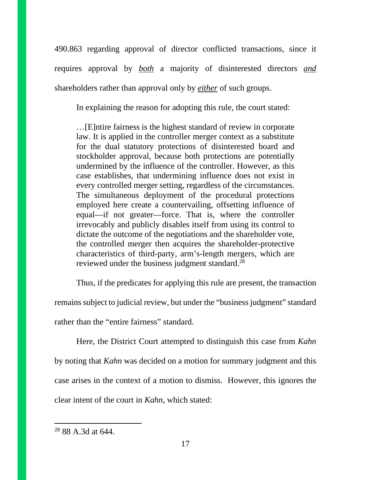490.863 regarding approval of director conflicted transactions, since it requires approval by *both* a majority of disinterested directors *and*  shareholders rather than approval only by *either* of such groups.

In explaining the reason for adopting this rule, the court stated:

…[E]ntire fairness is the highest standard of review in corporate law. It is applied in the controller merger context as a substitute for the dual statutory protections of disinterested board and stockholder approval, because both protections are potentially undermined by the influence of the controller. However, as this case establishes, that undermining influence does not exist in every controlled merger setting, regardless of the circumstances. The simultaneous deployment of the procedural protections employed here create a countervailing, offsetting influence of equal—if not greater—force. That is, where the controller irrevocably and publicly disables itself from using its control to dictate the outcome of the negotiations and the shareholder vote, the controlled merger then acquires the shareholder-protective characteristics of third-party, arm's-length mergers, which are reviewed under the business judgment standard.<sup>28</sup>

Thus, if the predicates for applying this rule are present, the transaction remains subject to judicial review, but under the "business judgment" standard rather than the "entire fairness" standard.

Here, the District Court attempted to distinguish this case from *Kahn* by noting that *Kahn* was decided on a motion for summary judgment and this case arises in the context of a motion to dismiss. However, this ignores the clear intent of the court in *Kahn*, which stated:

<sup>28</sup> 88 A.3d at 644.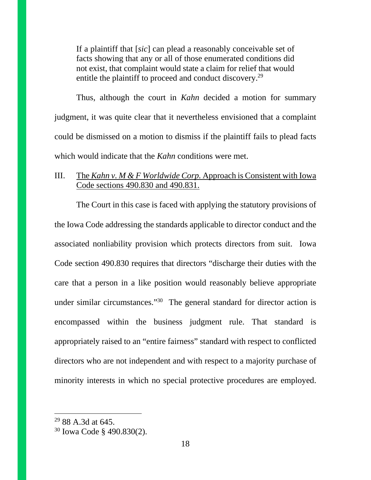If a plaintiff that [*sic*] can plead a reasonably conceivable set of facts showing that any or all of those enumerated conditions did not exist, that complaint would state a claim for relief that would entitle the plaintiff to proceed and conduct discovery.<sup>29</sup>

Thus, although the court in *Kahn* decided a motion for summary judgment, it was quite clear that it nevertheless envisioned that a complaint could be dismissed on a motion to dismiss if the plaintiff fails to plead facts which would indicate that the *Kahn* conditions were met.

## III. The *Kahn v. M & F Worldwide Corp.* Approach is Consistent with Iowa Code sections 490.830 and 490.831.

The Court in this case is faced with applying the statutory provisions of the Iowa Code addressing the standards applicable to director conduct and the associated nonliability provision which protects directors from suit. Iowa Code section 490.830 requires that directors "discharge their duties with the care that a person in a like position would reasonably believe appropriate under similar circumstances."<sup>30</sup> The general standard for director action is encompassed within the business judgment rule. That standard is appropriately raised to an "entire fairness" standard with respect to conflicted directors who are not independent and with respect to a majority purchase of minority interests in which no special protective procedures are employed.

<sup>29</sup> 88 A.3d at 645.

<sup>30</sup> Iowa Code § 490.830(2).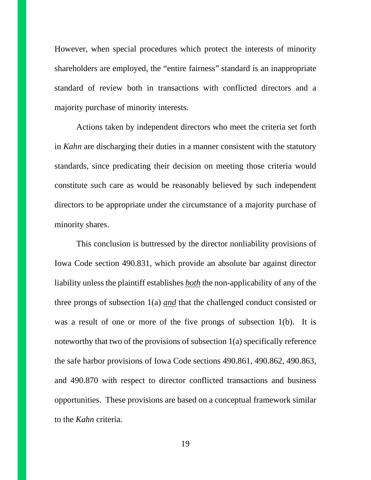However, when special procedures which protect the interests of minority shareholders are employed, the "entire fairness" standard is an inappropriate standard of review both in transactions with conflicted directors and a majority purchase of minority interests.

Actions taken by independent directors who meet the criteria set forth in *Kahn* are discharging their duties in a manner consistent with the statutory standards, since predicating their decision on meeting those criteria would constitute such care as would be reasonably believed by such independent directors to be appropriate under the circumstance of a majority purchase of minority shares.

This conclusion is buttressed by the director nonliability provisions of Iowa Code section 490.831, which provide an absolute bar against director liability unless the plaintiff establishes *both* the non-applicability of any of the three prongs of subsection 1(a) *and* that the challenged conduct consisted or was a result of one or more of the five prongs of subsection 1(b). It is noteworthy that two of the provisions of subsection 1(a) specifically reference the safe harbor provisions of Iowa Code sections 490.861, 490.862, 490.863, and 490.870 with respect to director conflicted transactions and business opportunities. These provisions are based on a conceptual framework similar to the *Kahn* criteria.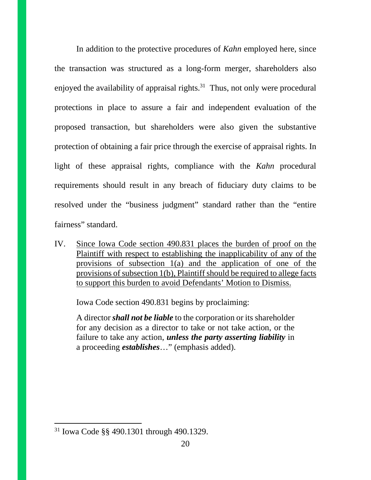In addition to the protective procedures of *Kahn* employed here, since the transaction was structured as a long-form merger, shareholders also enjoyed the availability of appraisal rights.<sup>31</sup> Thus, not only were procedural protections in place to assure a fair and independent evaluation of the proposed transaction, but shareholders were also given the substantive protection of obtaining a fair price through the exercise of appraisal rights. In light of these appraisal rights, compliance with the *Kahn* procedural requirements should result in any breach of fiduciary duty claims to be resolved under the "business judgment" standard rather than the "entire fairness" standard.

IV. Since Iowa Code section 490.831 places the burden of proof on the Plaintiff with respect to establishing the inapplicability of any of the provisions of subsection 1(a) and the application of one of the provisions of subsection 1(b), Plaintiff should be required to allege facts to support this burden to avoid Defendants' Motion to Dismiss.

Iowa Code section 490.831 begins by proclaiming:

A director *shall not be liable* to the corporation or its shareholder for any decision as a director to take or not take action, or the failure to take any action, *unless the party asserting liability* in a proceeding *establishes*…" (emphasis added).

<sup>31</sup> Iowa Code §§ 490.1301 through 490.1329.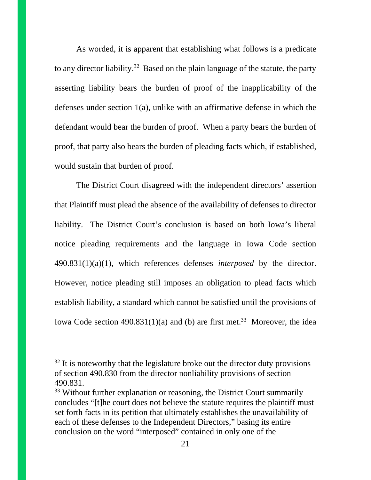As worded, it is apparent that establishing what follows is a predicate to any director liability.<sup>32</sup> Based on the plain language of the statute, the party asserting liability bears the burden of proof of the inapplicability of the defenses under section 1(a), unlike with an affirmative defense in which the defendant would bear the burden of proof. When a party bears the burden of proof, that party also bears the burden of pleading facts which, if established, would sustain that burden of proof.

The District Court disagreed with the independent directors' assertion that Plaintiff must plead the absence of the availability of defenses to director liability. The District Court's conclusion is based on both Iowa's liberal notice pleading requirements and the language in Iowa Code section 490.831(1)(a)(1), which references defenses *interposed* by the director. However, notice pleading still imposes an obligation to plead facts which establish liability, a standard which cannot be satisfied until the provisions of Iowa Code section  $490.831(1)(a)$  and (b) are first met.<sup>33</sup> Moreover, the idea

 $32$  It is noteworthy that the legislature broke out the director duty provisions of section 490.830 from the director nonliability provisions of section 490.831.

<sup>&</sup>lt;sup>33</sup> Without further explanation or reasoning, the District Court summarily concludes "[t]he court does not believe the statute requires the plaintiff must set forth facts in its petition that ultimately establishes the unavailability of each of these defenses to the Independent Directors," basing its entire conclusion on the word "interposed" contained in only one of the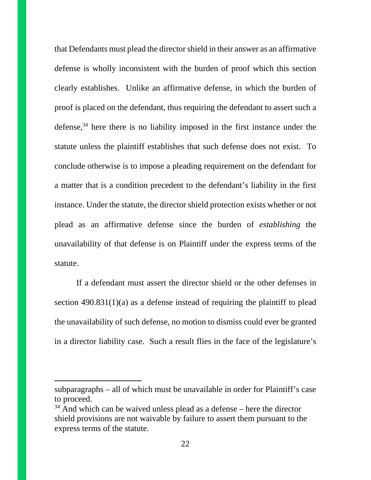that Defendants must plead the director shield in their answer as an affirmative defense is wholly inconsistent with the burden of proof which this section clearly establishes. Unlike an affirmative defense, in which the burden of proof is placed on the defendant, thus requiring the defendant to assert such a defense,<sup>34</sup> here there is no liability imposed in the first instance under the statute unless the plaintiff establishes that such defense does not exist. To conclude otherwise is to impose a pleading requirement on the defendant for a matter that is a condition precedent to the defendant's liability in the first instance. Under the statute, the director shield protection exists whether or not plead as an affirmative defense since the burden of *establishing* the unavailability of that defense is on Plaintiff under the express terms of the statute.

If a defendant must assert the director shield or the other defenses in section 490.831(1)(a) as a defense instead of requiring the plaintiff to plead the unavailability of such defense, no motion to dismiss could ever be granted in a director liability case. Such a result flies in the face of the legislature's

subparagraphs – all of which must be unavailable in order for Plaintiff's case to proceed.

 $34$  And which can be waived unless plead as a defense – here the director shield provisions are not waivable by failure to assert them pursuant to the express terms of the statute.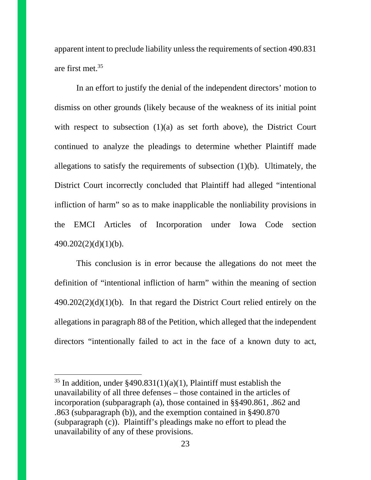apparent intent to preclude liability unless the requirements of section 490.831 are first met.<sup>35</sup>

In an effort to justify the denial of the independent directors' motion to dismiss on other grounds (likely because of the weakness of its initial point with respect to subsection (1)(a) as set forth above), the District Court continued to analyze the pleadings to determine whether Plaintiff made allegations to satisfy the requirements of subsection (1)(b). Ultimately, the District Court incorrectly concluded that Plaintiff had alleged "intentional infliction of harm" so as to make inapplicable the nonliability provisions in the EMCI Articles of Incorporation under Iowa Code section 490.202(2)(d)(1)(b).

This conclusion is in error because the allegations do not meet the definition of "intentional infliction of harm" within the meaning of section  $490.202(2)(d)(1)(b)$ . In that regard the District Court relied entirely on the allegations in paragraph 88 of the Petition, which alleged that the independent directors "intentionally failed to act in the face of a known duty to act,

<sup>&</sup>lt;sup>35</sup> In addition, under  $\frac{2490.831(1)(a)(1)}{9}$ , Plaintiff must establish the unavailability of all three defenses – those contained in the articles of incorporation (subparagraph (a), those contained in §§490.861, .862 and .863 (subparagraph (b)), and the exemption contained in §490.870 (subparagraph (c)). Plaintiff's pleadings make no effort to plead the unavailability of any of these provisions.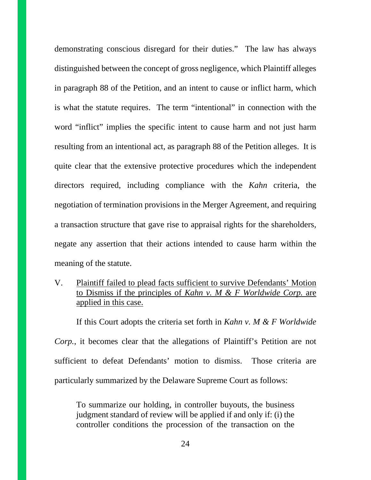demonstrating conscious disregard for their duties." The law has always distinguished between the concept of gross negligence, which Plaintiff alleges in paragraph 88 of the Petition, and an intent to cause or inflict harm, which is what the statute requires. The term "intentional" in connection with the word "inflict" implies the specific intent to cause harm and not just harm resulting from an intentional act, as paragraph 88 of the Petition alleges. It is quite clear that the extensive protective procedures which the independent directors required, including compliance with the *Kahn* criteria, the negotiation of termination provisions in the Merger Agreement, and requiring a transaction structure that gave rise to appraisal rights for the shareholders, negate any assertion that their actions intended to cause harm within the meaning of the statute.

V. Plaintiff failed to plead facts sufficient to survive Defendants' Motion to Dismiss if the principles of *Kahn v. M & F Worldwide Corp.* are applied in this case.

If this Court adopts the criteria set forth in *Kahn v. M & F Worldwide Corp.*, it becomes clear that the allegations of Plaintiff's Petition are not sufficient to defeat Defendants' motion to dismiss. Those criteria are particularly summarized by the Delaware Supreme Court as follows:

To summarize our holding, in controller buyouts, the business judgment standard of review will be applied if and only if: (i) the controller conditions the procession of the transaction on the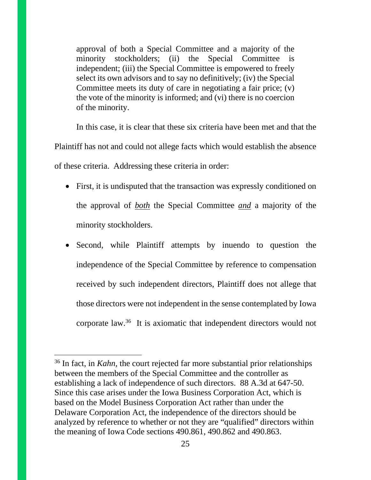approval of both a Special Committee and a majority of the minority stockholders; (ii) the Special Committee is independent; (iii) the Special Committee is empowered to freely select its own advisors and to say no definitively; (iv) the Special Committee meets its duty of care in negotiating a fair price; (v) the vote of the minority is informed; and (vi) there is no coercion of the minority.

In this case, it is clear that these six criteria have been met and that the Plaintiff has not and could not allege facts which would establish the absence of these criteria. Addressing these criteria in order:

- First, it is undisputed that the transaction was expressly conditioned on the approval of *both* the Special Committee *and* a majority of the minority stockholders.
- Second, while Plaintiff attempts by inuendo to question the independence of the Special Committee by reference to compensation received by such independent directors, Plaintiff does not allege that those directors were not independent in the sense contemplated by Iowa corporate law.<sup>36</sup> It is axiomatic that independent directors would not

<sup>36</sup> In fact, in *Kahn,* the court rejected far more substantial prior relationships between the members of the Special Committee and the controller as establishing a lack of independence of such directors. 88 A.3d at 647-50. Since this case arises under the Iowa Business Corporation Act, which is based on the Model Business Corporation Act rather than under the Delaware Corporation Act, the independence of the directors should be analyzed by reference to whether or not they are "qualified" directors within the meaning of Iowa Code sections 490.861, 490.862 and 490.863.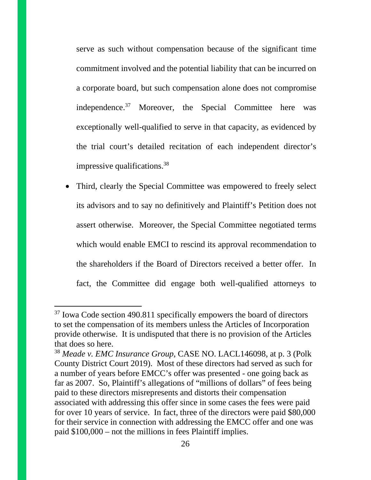serve as such without compensation because of the significant time commitment involved and the potential liability that can be incurred on a corporate board, but such compensation alone does not compromise independence.<sup>37</sup> Moreover, the Special Committee here was exceptionally well-qualified to serve in that capacity, as evidenced by the trial court's detailed recitation of each independent director's impressive qualifications.<sup>38</sup>

• Third, clearly the Special Committee was empowered to freely select its advisors and to say no definitively and Plaintiff's Petition does not assert otherwise. Moreover, the Special Committee negotiated terms which would enable EMCI to rescind its approval recommendation to the shareholders if the Board of Directors received a better offer. In fact, the Committee did engage both well-qualified attorneys to

<sup>&</sup>lt;sup>37</sup> Iowa Code section 490.811 specifically empowers the board of directors to set the compensation of its members unless the Articles of Incorporation provide otherwise. It is undisputed that there is no provision of the Articles that does so here.

<sup>38</sup> *Meade v. EMC Insurance Group*, CASE NO. LACL146098, at p. 3 (Polk County District Court 2019). Most of these directors had served as such for a number of years before EMCC's offer was presented - one going back as far as 2007. So, Plaintiff's allegations of "millions of dollars" of fees being paid to these directors misrepresents and distorts their compensation associated with addressing this offer since in some cases the fees were paid for over 10 years of service. In fact, three of the directors were paid \$80,000 for their service in connection with addressing the EMCC offer and one was paid \$100,000 – not the millions in fees Plaintiff implies.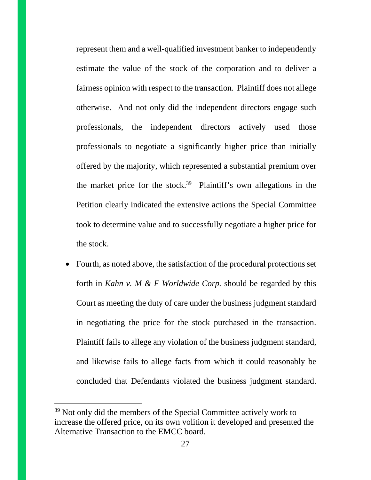represent them and a well-qualified investment banker to independently estimate the value of the stock of the corporation and to deliver a fairness opinion with respect to the transaction. Plaintiff does not allege otherwise. And not only did the independent directors engage such professionals, the independent directors actively used those professionals to negotiate a significantly higher price than initially offered by the majority, which represented a substantial premium over the market price for the stock.<sup>39</sup> Plaintiff's own allegations in the Petition clearly indicated the extensive actions the Special Committee took to determine value and to successfully negotiate a higher price for the stock.

• Fourth, as noted above, the satisfaction of the procedural protections set forth in *Kahn v. M & F Worldwide Corp.* should be regarded by this Court as meeting the duty of care under the business judgment standard in negotiating the price for the stock purchased in the transaction. Plaintiff fails to allege any violation of the business judgment standard, and likewise fails to allege facts from which it could reasonably be concluded that Defendants violated the business judgment standard.

<sup>&</sup>lt;sup>39</sup> Not only did the members of the Special Committee actively work to increase the offered price, on its own volition it developed and presented the Alternative Transaction to the EMCC board.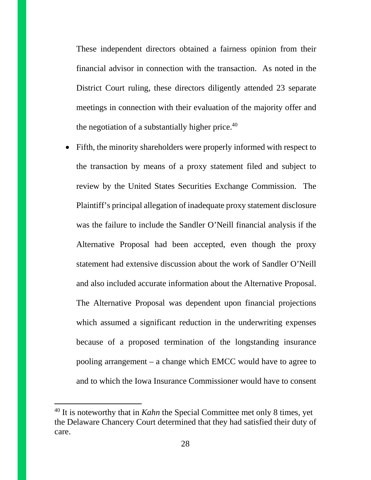These independent directors obtained a fairness opinion from their financial advisor in connection with the transaction. As noted in the District Court ruling, these directors diligently attended 23 separate meetings in connection with their evaluation of the majority offer and the negotiation of a substantially higher price. $40$ 

• Fifth, the minority shareholders were properly informed with respect to the transaction by means of a proxy statement filed and subject to review by the United States Securities Exchange Commission. The Plaintiff's principal allegation of inadequate proxy statement disclosure was the failure to include the Sandler O'Neill financial analysis if the Alternative Proposal had been accepted, even though the proxy statement had extensive discussion about the work of Sandler O'Neill and also included accurate information about the Alternative Proposal. The Alternative Proposal was dependent upon financial projections which assumed a significant reduction in the underwriting expenses because of a proposed termination of the longstanding insurance pooling arrangement – a change which EMCC would have to agree to and to which the Iowa Insurance Commissioner would have to consent

<sup>&</sup>lt;sup>40</sup> It is noteworthy that in *Kahn* the Special Committee met only 8 times, yet the Delaware Chancery Court determined that they had satisfied their duty of care.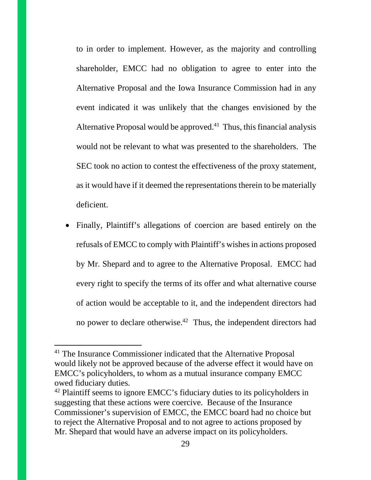to in order to implement. However, as the majority and controlling shareholder, EMCC had no obligation to agree to enter into the Alternative Proposal and the Iowa Insurance Commission had in any event indicated it was unlikely that the changes envisioned by the Alternative Proposal would be approved.<sup>41</sup> Thus, this financial analysis would not be relevant to what was presented to the shareholders. The SEC took no action to contest the effectiveness of the proxy statement, as it would have if it deemed the representations therein to be materially deficient.

 Finally, Plaintiff's allegations of coercion are based entirely on the refusals of EMCC to comply with Plaintiff's wishes in actions proposed by Mr. Shepard and to agree to the Alternative Proposal. EMCC had every right to specify the terms of its offer and what alternative course of action would be acceptable to it, and the independent directors had no power to declare otherwise.<sup>42</sup> Thus, the independent directors had

<sup>&</sup>lt;sup>41</sup> The Insurance Commissioner indicated that the Alternative Proposal would likely not be approved because of the adverse effect it would have on EMCC's policyholders, to whom as a mutual insurance company EMCC owed fiduciary duties.

<sup>&</sup>lt;sup>42</sup> Plaintiff seems to ignore EMCC's fiduciary duties to its policyholders in suggesting that these actions were coercive. Because of the Insurance Commissioner's supervision of EMCC, the EMCC board had no choice but to reject the Alternative Proposal and to not agree to actions proposed by Mr. Shepard that would have an adverse impact on its policyholders.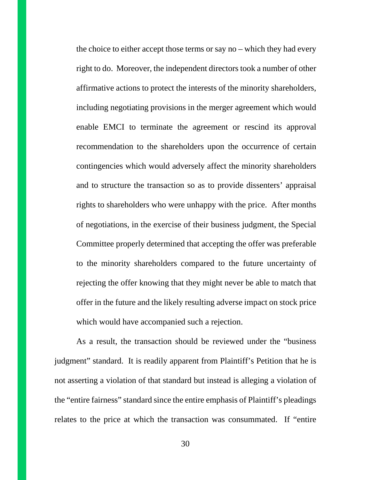the choice to either accept those terms or say no – which they had every right to do. Moreover, the independent directors took a number of other affirmative actions to protect the interests of the minority shareholders, including negotiating provisions in the merger agreement which would enable EMCI to terminate the agreement or rescind its approval recommendation to the shareholders upon the occurrence of certain contingencies which would adversely affect the minority shareholders and to structure the transaction so as to provide dissenters' appraisal rights to shareholders who were unhappy with the price. After months of negotiations, in the exercise of their business judgment, the Special Committee properly determined that accepting the offer was preferable to the minority shareholders compared to the future uncertainty of rejecting the offer knowing that they might never be able to match that offer in the future and the likely resulting adverse impact on stock price which would have accompanied such a rejection.

As a result, the transaction should be reviewed under the "business judgment" standard. It is readily apparent from Plaintiff's Petition that he is not asserting a violation of that standard but instead is alleging a violation of the "entire fairness" standard since the entire emphasis of Plaintiff's pleadings relates to the price at which the transaction was consummated. If "entire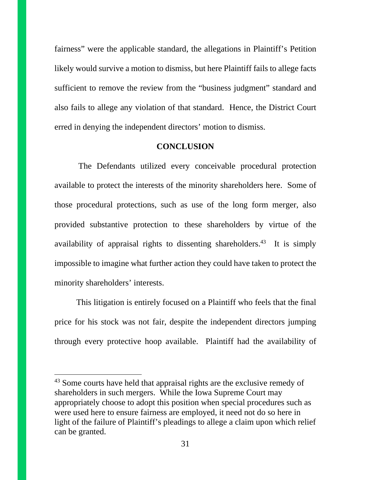fairness" were the applicable standard, the allegations in Plaintiff's Petition likely would survive a motion to dismiss, but here Plaintiff fails to allege facts sufficient to remove the review from the "business judgment" standard and also fails to allege any violation of that standard. Hence, the District Court erred in denying the independent directors' motion to dismiss.

#### **CONCLUSION**

 The Defendants utilized every conceivable procedural protection available to protect the interests of the minority shareholders here. Some of those procedural protections, such as use of the long form merger, also provided substantive protection to these shareholders by virtue of the availability of appraisal rights to dissenting shareholders.<sup>43</sup> It is simply impossible to imagine what further action they could have taken to protect the minority shareholders' interests.

This litigation is entirely focused on a Plaintiff who feels that the final price for his stock was not fair, despite the independent directors jumping through every protective hoop available. Plaintiff had the availability of

<sup>&</sup>lt;sup>43</sup> Some courts have held that appraisal rights are the exclusive remedy of shareholders in such mergers. While the Iowa Supreme Court may appropriately choose to adopt this position when special procedures such as were used here to ensure fairness are employed, it need not do so here in light of the failure of Plaintiff's pleadings to allege a claim upon which relief can be granted.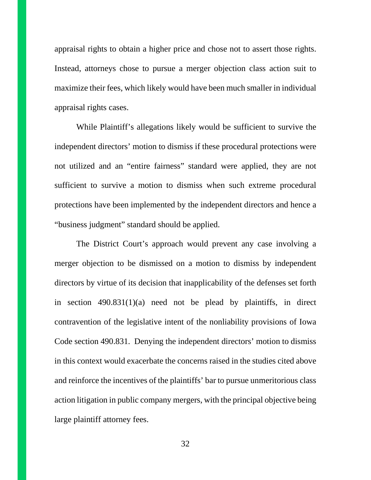appraisal rights to obtain a higher price and chose not to assert those rights. Instead, attorneys chose to pursue a merger objection class action suit to maximize their fees, which likely would have been much smaller in individual appraisal rights cases.

While Plaintiff's allegations likely would be sufficient to survive the independent directors' motion to dismiss if these procedural protections were not utilized and an "entire fairness" standard were applied, they are not sufficient to survive a motion to dismiss when such extreme procedural protections have been implemented by the independent directors and hence a "business judgment" standard should be applied.

The District Court's approach would prevent any case involving a merger objection to be dismissed on a motion to dismiss by independent directors by virtue of its decision that inapplicability of the defenses set forth in section 490.831(1)(a) need not be plead by plaintiffs, in direct contravention of the legislative intent of the nonliability provisions of Iowa Code section 490.831. Denying the independent directors' motion to dismiss in this context would exacerbate the concerns raised in the studies cited above and reinforce the incentives of the plaintiffs' bar to pursue unmeritorious class action litigation in public company mergers, with the principal objective being large plaintiff attorney fees.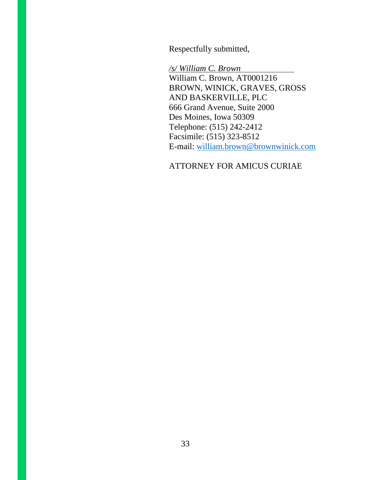Respectfully submitted,

*/s/ William C. Brown*  William C. Brown, AT0001216 BROWN, WINICK, GRAVES, GROSS AND BASKERVILLE, PLC 666 Grand Avenue, Suite 2000 Des Moines, Iowa 50309 Telephone: (515) 242-2412 Facsimile: (515) 323-8512 E-mail: william.brown@brownwinick.com

## ATTORNEY FOR AMICUS CURIAE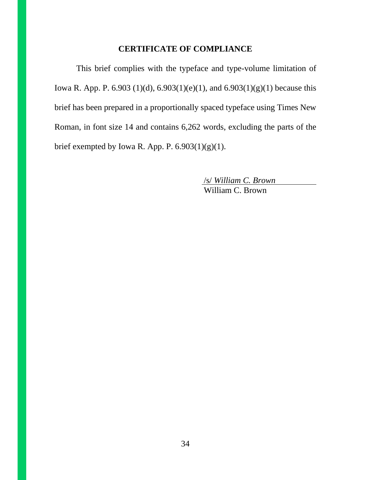## **CERTIFICATE OF COMPLIANCE**

This brief complies with the typeface and type-volume limitation of Iowa R. App. P. 6.903 (1)(d), 6.903(1)(e)(1), and 6.903(1)(g)(1) because this brief has been prepared in a proportionally spaced typeface using Times New Roman, in font size 14 and contains 6,262 words, excluding the parts of the brief exempted by Iowa R. App. P.  $6.903(1)(g)(1)$ .

> /s/ *William C. Brown*  William C. Brown